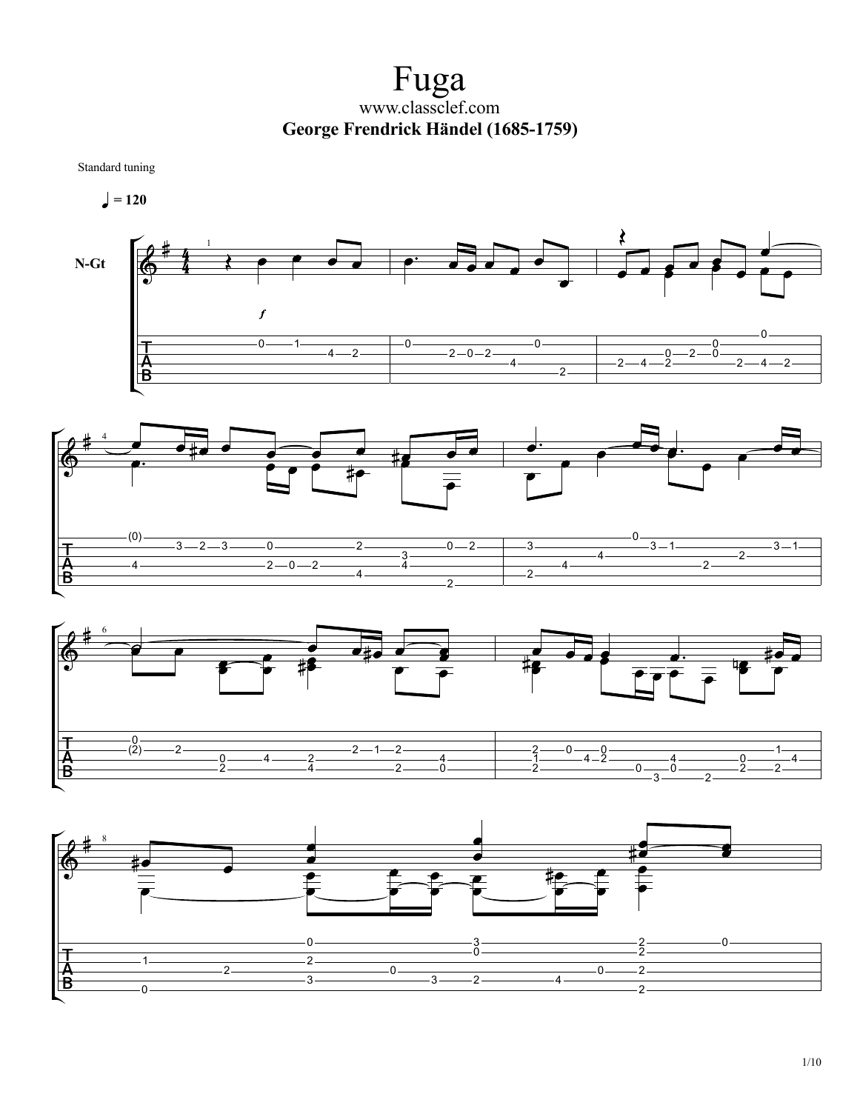Fuga www.classclef.com **George Frendrick Händel (1685-1759)**

Standard tuning

 $= 120$ 







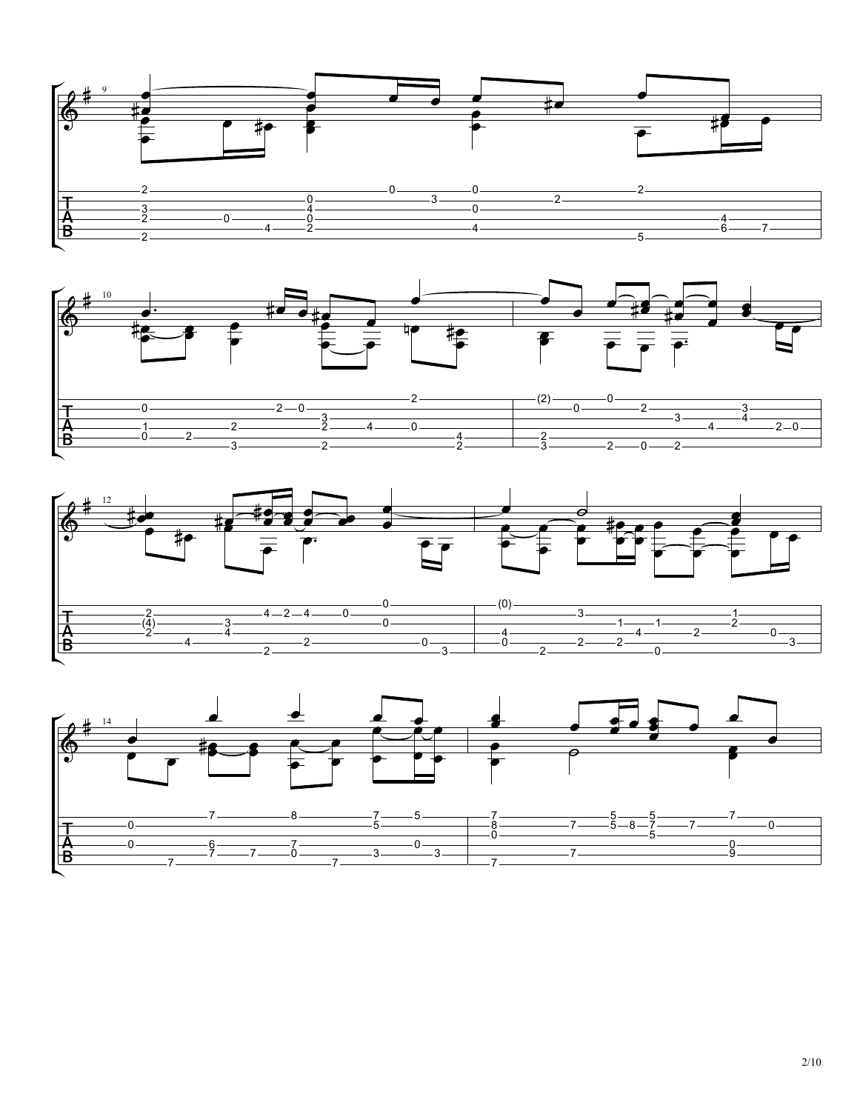





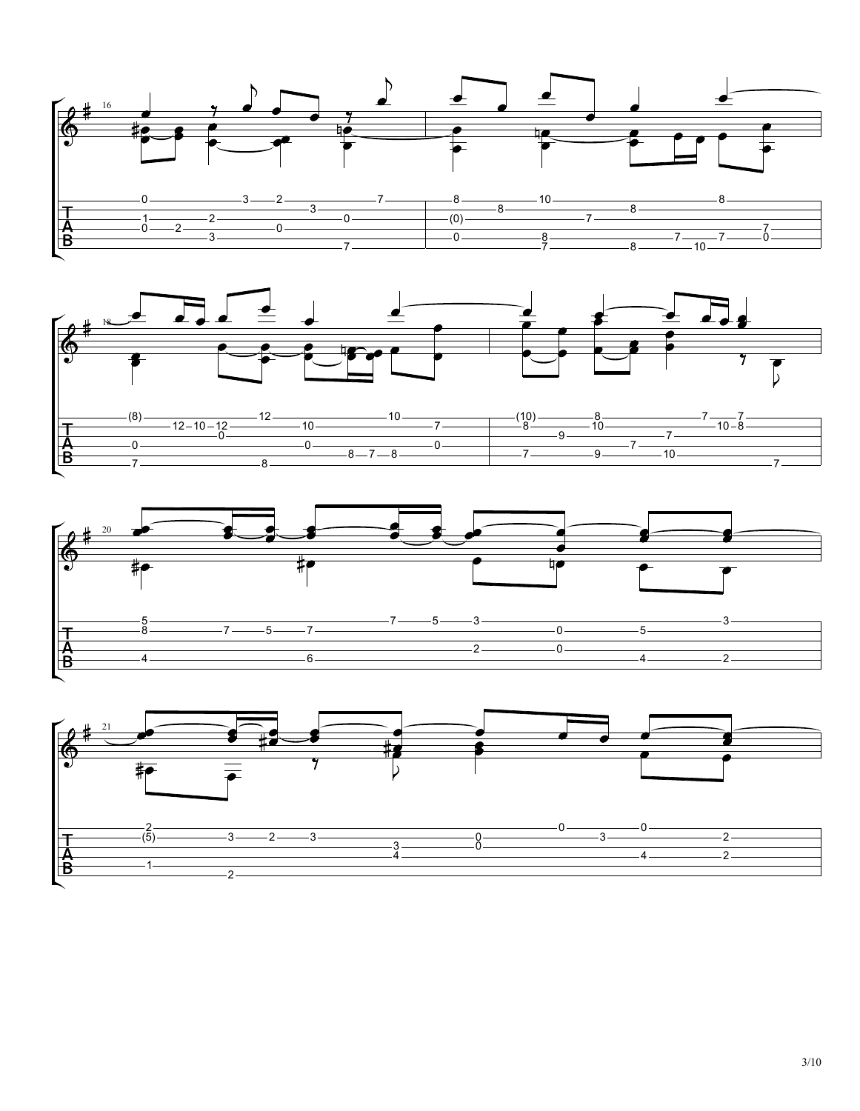





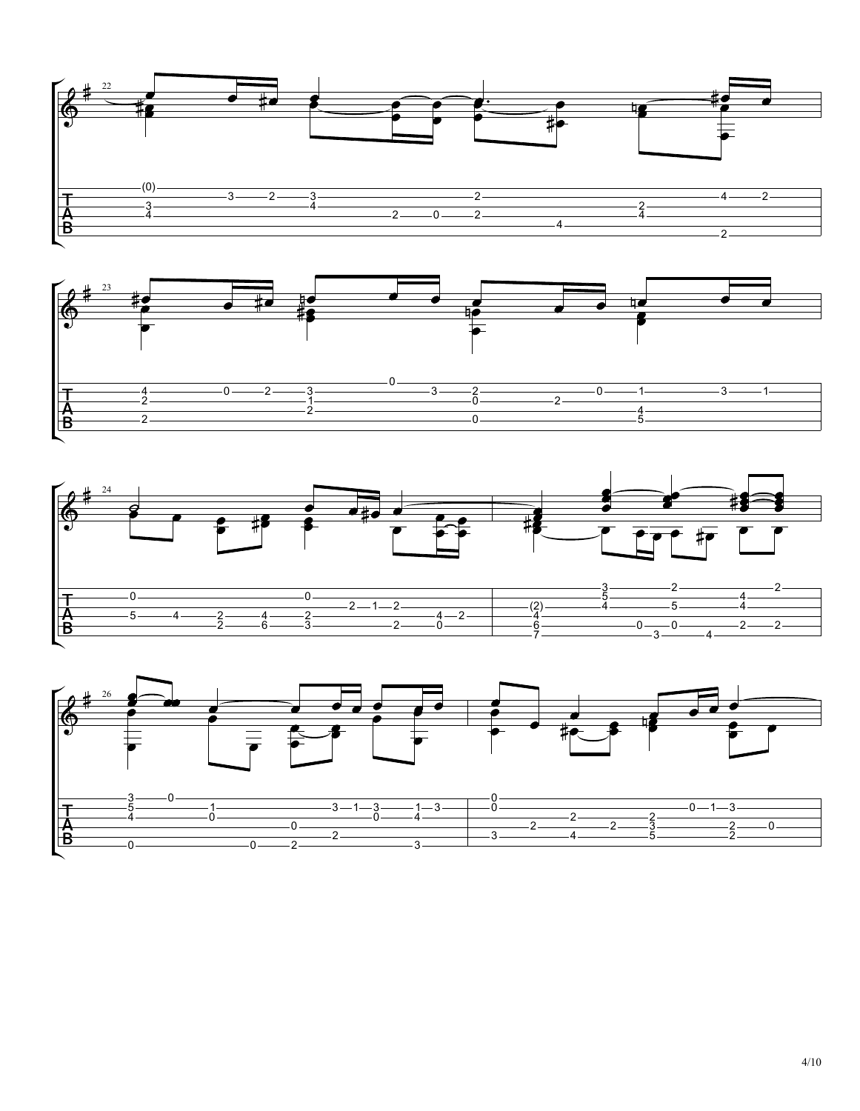





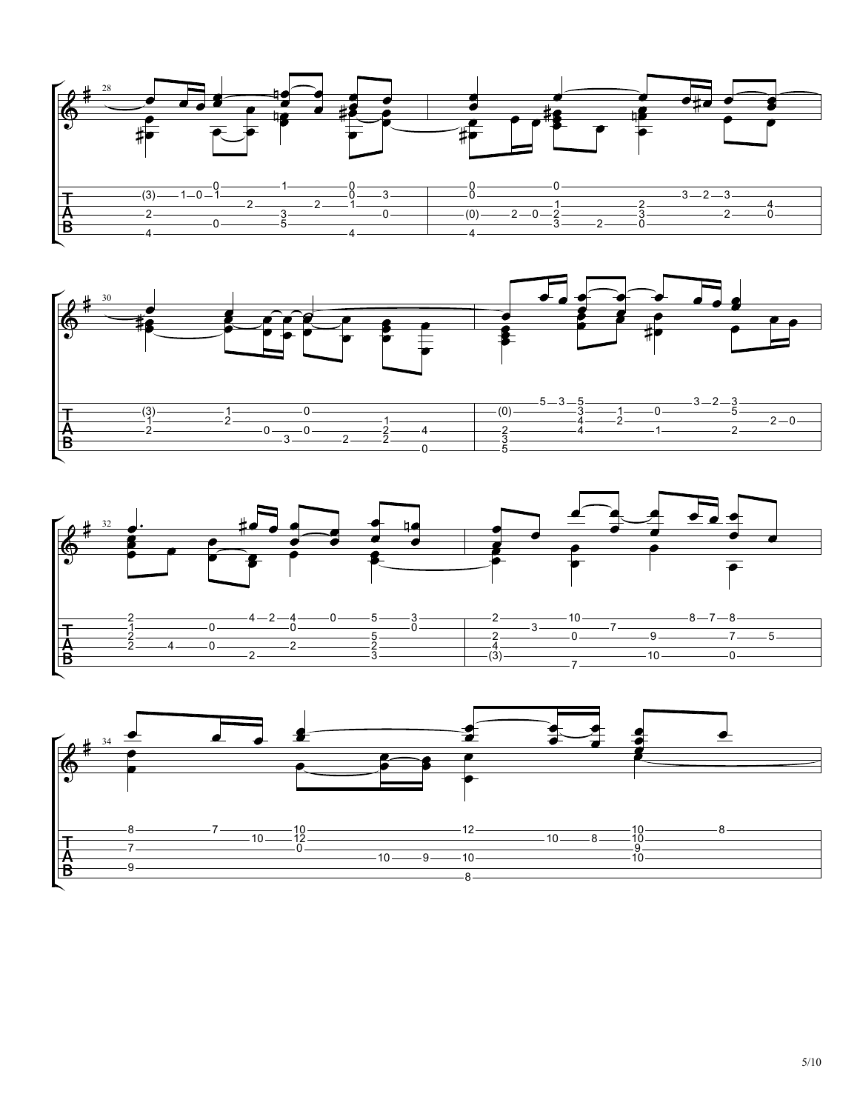





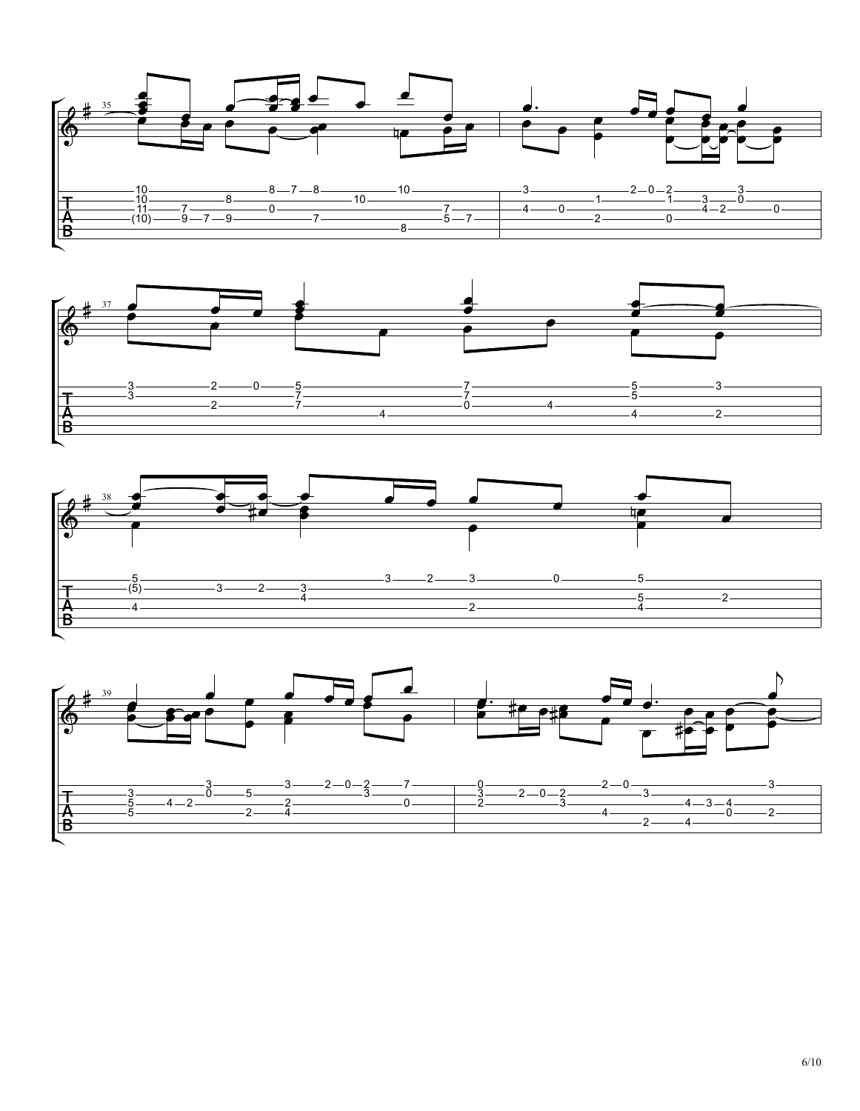





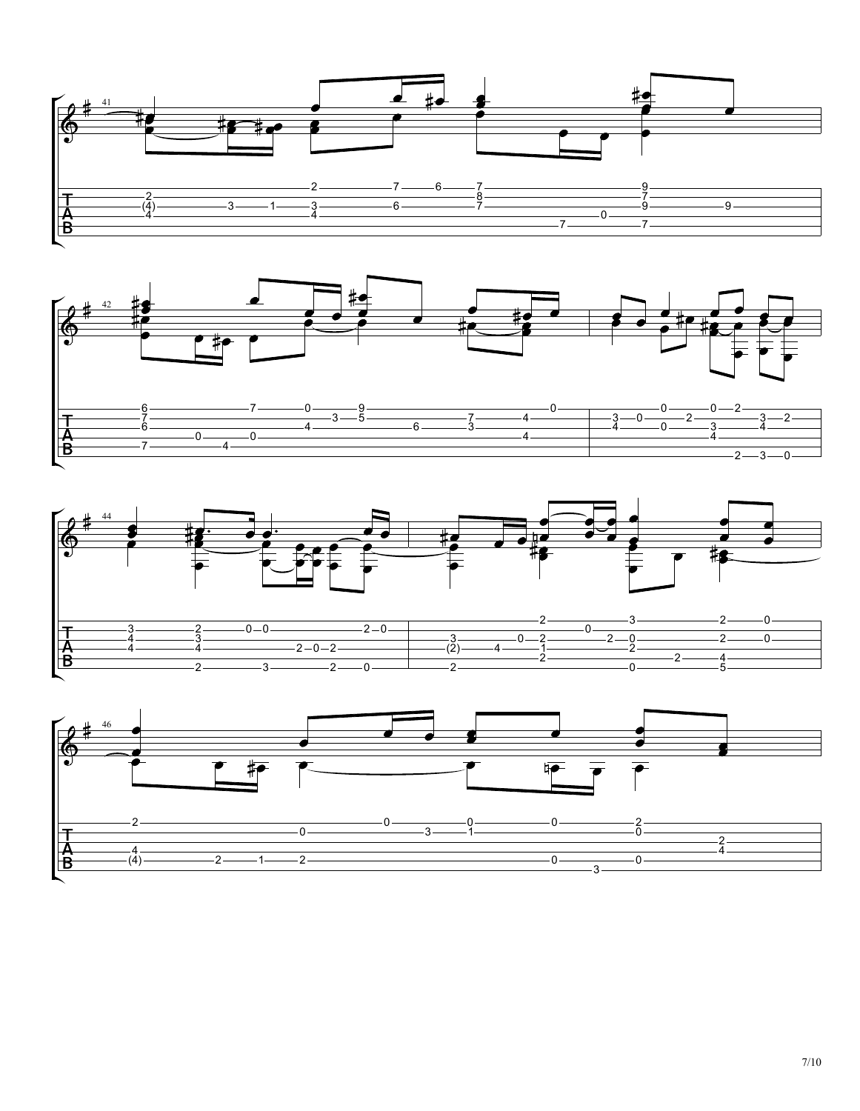





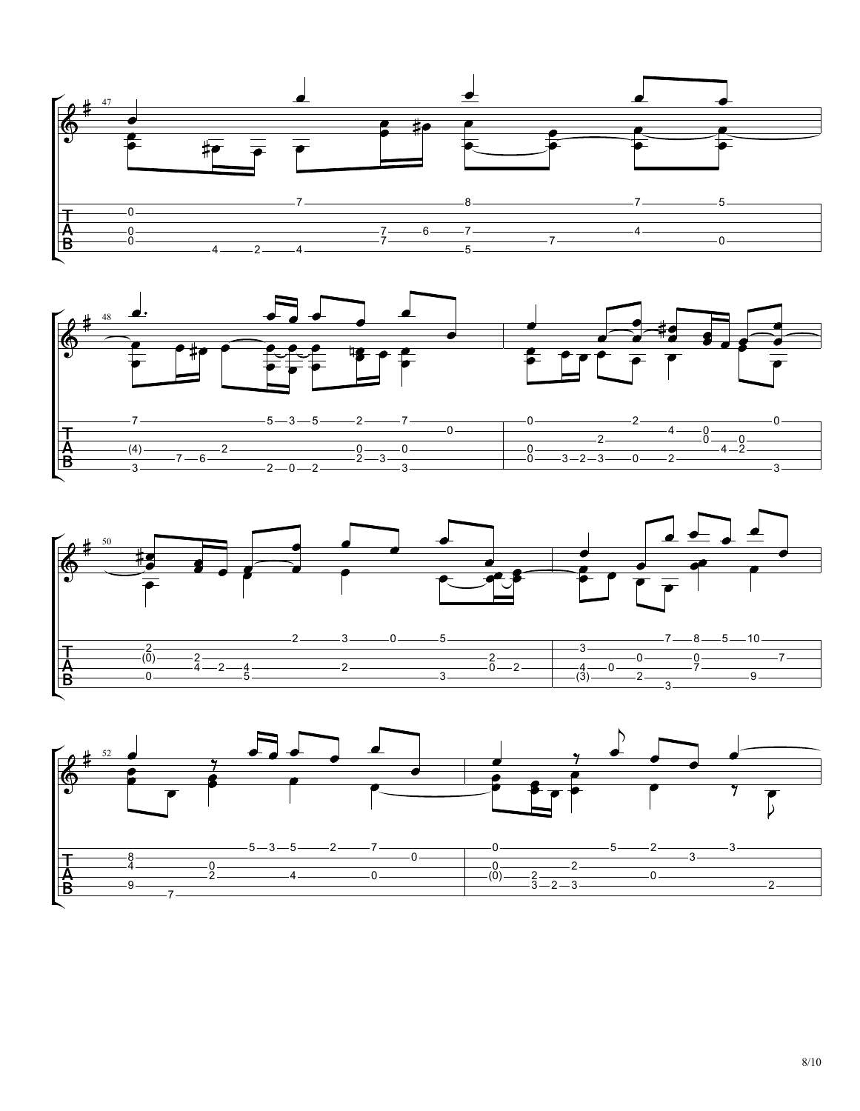





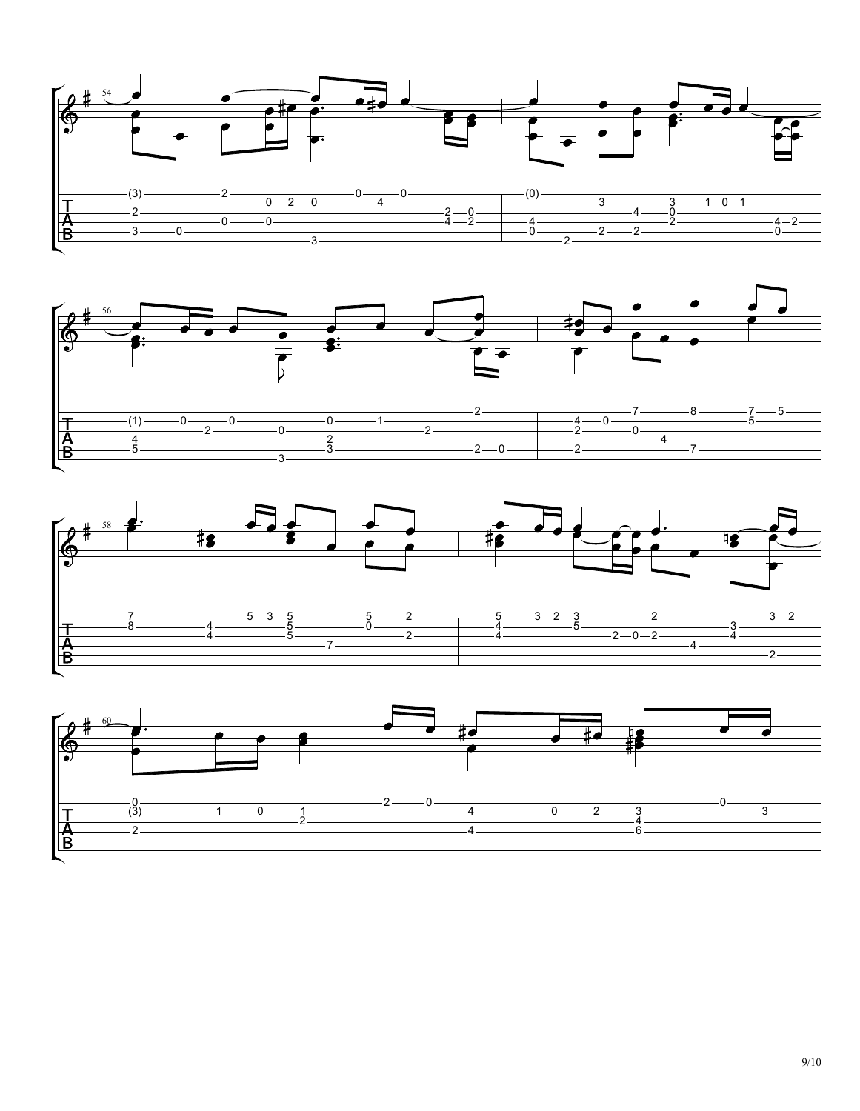